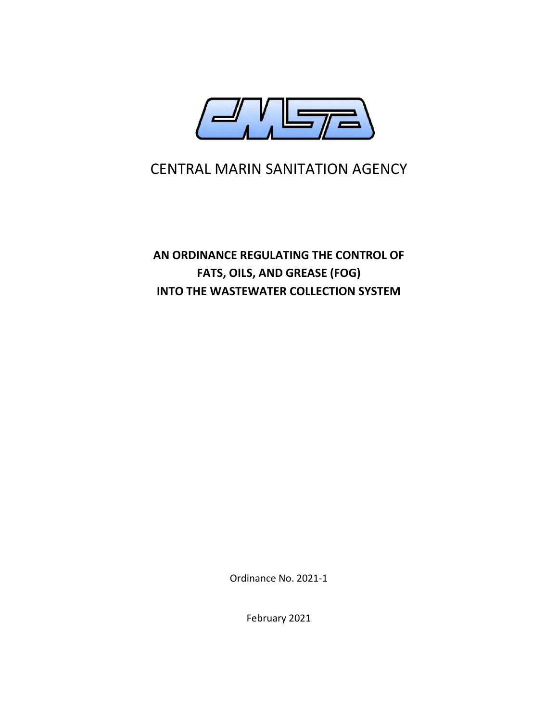

# CENTRAL MARIN SANITATION AGENCY

**AN ORDINANCE REGULATING THE CONTROL OF FATS, OILS, AND GREASE (FOG) INTO THE WASTEWATER COLLECTION SYSTEM** 

Ordinance No. 2021-1

February 2021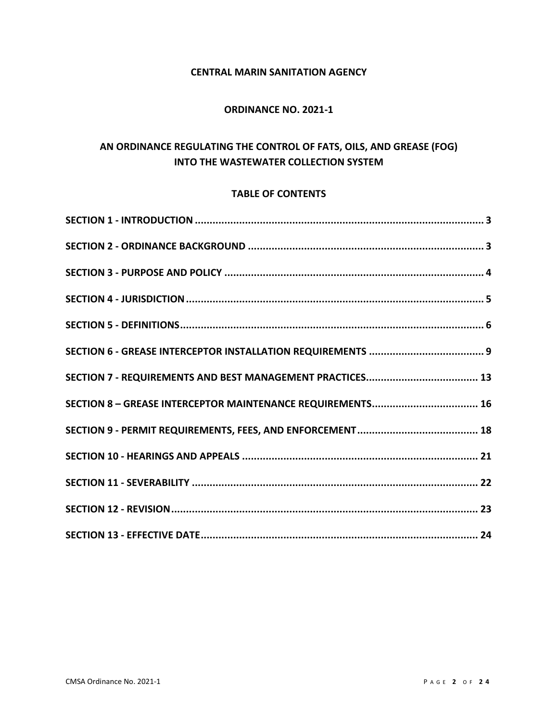# **CENTRAL MARIN SANITATION AGENCY**

## **ORDINANCE NO. 2021-1**

# **AN ORDINANCE REGULATING THE CONTROL OF FATS, OILS, AND GREASE (FOG) INTO THE WASTEWATER COLLECTION SYSTEM**

#### **TABLE OF CONTENTS**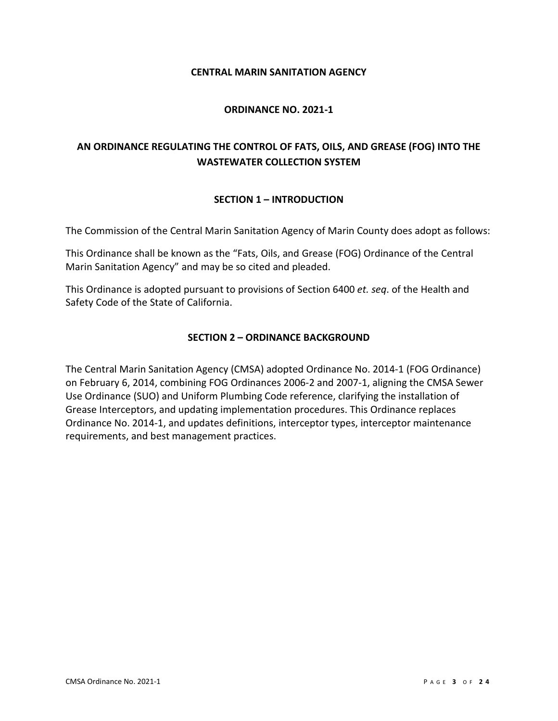#### **CENTRAL MARIN SANITATION AGENCY**

#### **ORDINANCE NO. 2021-1**

# **AN ORDINANCE REGULATING THE CONTROL OF FATS, OILS, AND GREASE (FOG) INTO THE WASTEWATER COLLECTION SYSTEM**

#### **SECTION 1 – INTRODUCTION**

<span id="page-2-0"></span>The Commission of the Central Marin Sanitation Agency of Marin County does adopt as follows:

This Ordinance shall be known as the "Fats, Oils, and Grease (FOG) Ordinance of the Central Marin Sanitation Agency" and may be so cited and pleaded.

<span id="page-2-1"></span>This Ordinance is adopted pursuant to provisions of Section 6400 *et. seq*. of the Health and Safety Code of the State of California.

#### **SECTION 2 – ORDINANCE BACKGROUND**

<span id="page-2-2"></span>The Central Marin Sanitation Agency (CMSA) adopted Ordinance No. 2014-1 (FOG Ordinance) on February 6, 2014, combining FOG Ordinances 2006-2 and 2007-1, aligning the CMSA Sewer Use Ordinance (SUO) and Uniform Plumbing Code reference, clarifying the installation of Grease Interceptors, and updating implementation procedures. This Ordinance replaces Ordinance No. 2014-1, and updates definitions, interceptor types, interceptor maintenance requirements, and best management practices.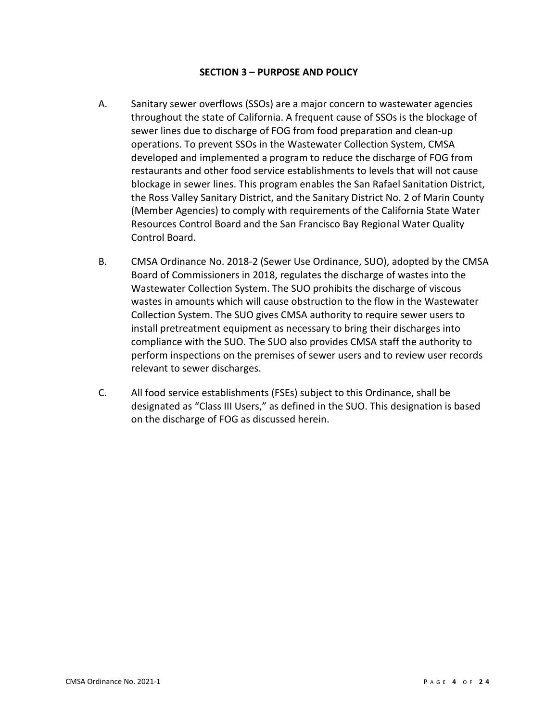#### **SECTION 3 – PURPOSE AND POLICY**

- A. Sanitary sewer overflows (SSOs) are a major concern to wastewater agencies throughout the state of California. A frequent cause of SSOs is the blockage of sewer lines due to discharge of FOG from food preparation and clean-up operations. To prevent SSOs in the Wastewater Collection System, CMSA developed and implemented a program to reduce the discharge of FOG from restaurants and other food service establishments to levels that will not cause blockage in sewer lines. This program enables the San Rafael Sanitation District, the Ross Valley Sanitary District, and the Sanitary District No. 2 of Marin County (Member Agencies) to comply with requirements of the California State Water Resources Control Board and the San Francisco Bay Regional Water Quality Control Board.
- B. CMSA Ordinance No. 2018-2 (Sewer Use Ordinance, SUO), adopted by the CMSA Board of Commissioners in 2018, regulates the discharge of wastes into the Wastewater Collection System. The SUO prohibits the discharge of viscous wastes in amounts which will cause obstruction to the flow in the Wastewater Collection System. The SUO gives CMSA authority to require sewer users to install pretreatment equipment as necessary to bring their discharges into compliance with the SUO. The SUO also provides CMSA staff the authority to perform inspections on the premises of sewer users and to review user records relevant to sewer discharges.
- C. All food service establishments (FSEs) subject to this Ordinance, shall be designated as "Class III Users," as defined in the SUO. This designation is based on the discharge of FOG as discussed herein.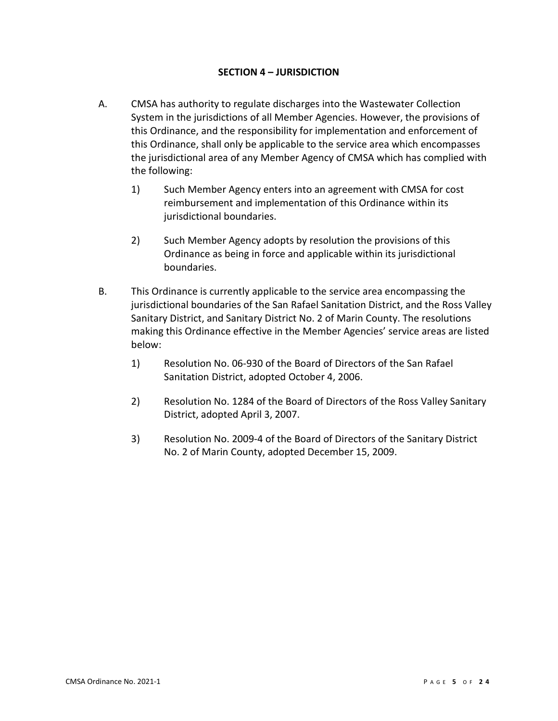#### **SECTION 4 – JURISDICTION**

- <span id="page-4-0"></span>A. CMSA has authority to regulate discharges into the Wastewater Collection System in the jurisdictions of all Member Agencies. However, the provisions of this Ordinance, and the responsibility for implementation and enforcement of this Ordinance, shall only be applicable to the service area which encompasses the jurisdictional area of any Member Agency of CMSA which has complied with the following:
	- 1) Such Member Agency enters into an agreement with CMSA for cost reimbursement and implementation of this Ordinance within its jurisdictional boundaries.
	- 2) Such Member Agency adopts by resolution the provisions of this Ordinance as being in force and applicable within its jurisdictional boundaries.
- B. This Ordinance is currently applicable to the service area encompassing the jurisdictional boundaries of the San Rafael Sanitation District, and the Ross Valley Sanitary District, and Sanitary District No. 2 of Marin County. The resolutions making this Ordinance effective in the Member Agencies' service areas are listed below:
	- 1) Resolution No. 06-930 of the Board of Directors of the San Rafael Sanitation District, adopted October 4, 2006.
	- 2) Resolution No. 1284 of the Board of Directors of the Ross Valley Sanitary District, adopted April 3, 2007.
	- 3) Resolution No. 2009-4 of the Board of Directors of the Sanitary District No. 2 of Marin County, adopted December 15, 2009.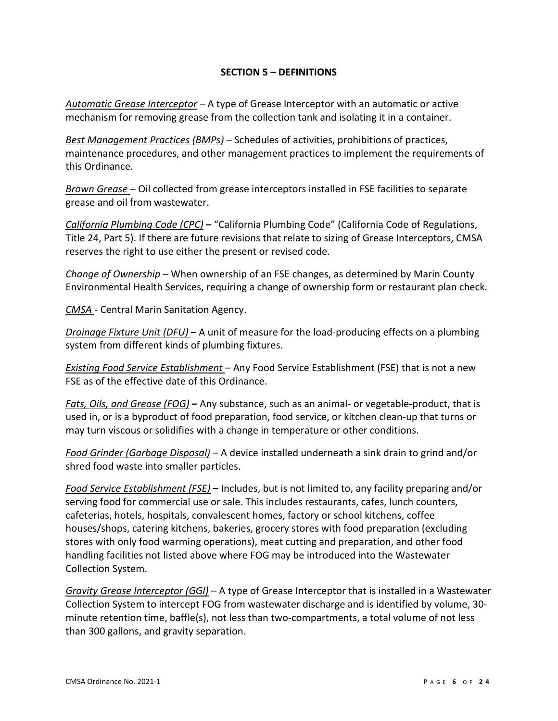# **SECTION 5 – DEFINITIONS**

<span id="page-5-0"></span>*Automatic Grease Interceptor* – A type of Grease Interceptor with an automatic or active mechanism for removing grease from the collection tank and isolating it in a container.

*Best Management Practices (BMPs)* – Schedules of activities, prohibitions of practices, maintenance procedures, and other management practices to implement the requirements of this Ordinance.

*Brown Grease* – Oil collected from grease interceptors installed in FSE facilities to separate grease and oil from wastewater.

*California Plumbing Code (CPC)* **–** "California Plumbing Code" (California Code of Regulations, Title 24, Part 5). If there are future revisions that relate to sizing of Grease Interceptors, CMSA reserves the right to use either the present or revised code.

*Change of Ownership –* When ownership of an FSE changes, as determined by Marin County Environmental Health Services, requiring a change of ownership form or restaurant plan check.

*CMSA -* Central Marin Sanitation Agency.

*Drainage Fixture Unit (DFU)* – A unit of measure for the load-producing effects on a plumbing system from different kinds of plumbing fixtures.

*Existing Food Service Establishment* – Any Food Service Establishment (FSE) that is not a new FSE as of the effective date of this Ordinance.

*Fats, Oils, and Grease (FOG)* **–** Any substance, such as an animal- or vegetable-product, that is used in, or is a byproduct of food preparation, food service, or kitchen clean-up that turns or may turn viscous or solidifies with a change in temperature or other conditions.

*Food Grinder (Garbage Disposal)* – A device installed underneath a sink drain to grind and/or shred food waste into smaller particles.

*Food Service Establishment (FSE)* **–** Includes, but is not limited to, any facility preparing and/or serving food for commercial use or sale. This includes restaurants, cafes, lunch counters, cafeterias, hotels, hospitals, convalescent homes, factory or school kitchens, coffee houses/shops, catering kitchens, bakeries, grocery stores with food preparation (excluding stores with only food warming operations), meat cutting and preparation, and other food handling facilities not listed above where FOG may be introduced into the Wastewater Collection System.

*Gravity Grease Interceptor (GGI)* – A type of Grease Interceptor that is installed in a Wastewater Collection System to intercept FOG from wastewater discharge and is identified by volume, 30 minute retention time, baffle(s), not less than two-compartments, a total volume of not less than 300 gallons, and gravity separation.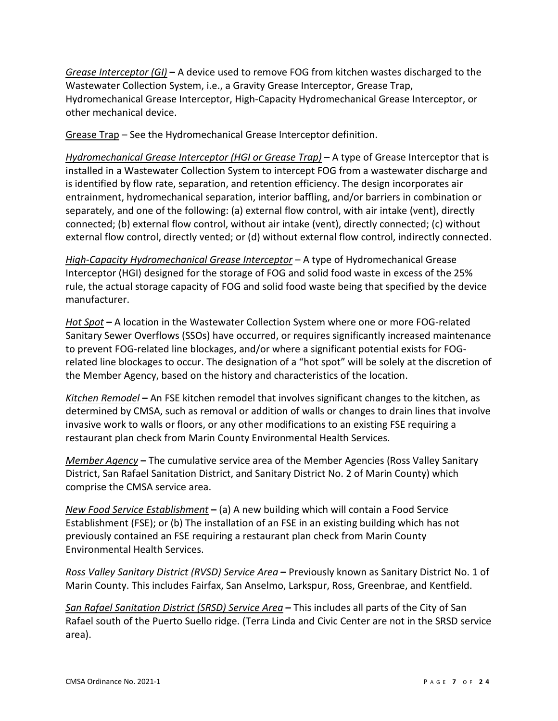*Grease Interceptor (GI)* **–** A device used to remove FOG from kitchen wastes discharged to the Wastewater Collection System, i.e., a Gravity Grease Interceptor, Grease Trap, Hydromechanical Grease Interceptor, High-Capacity Hydromechanical Grease Interceptor, or other mechanical device.

Grease Trap – See the Hydromechanical Grease Interceptor definition.

*Hydromechanical Grease Interceptor (HGI or Grease Trap)* – A type of Grease Interceptor that is installed in a Wastewater Collection System to intercept FOG from a wastewater discharge and is identified by flow rate, separation, and retention efficiency. The design incorporates air entrainment, hydromechanical separation, interior baffling, and/or barriers in combination or separately, and one of the following: (a) external flow control, with air intake (vent), directly connected; (b) external flow control, without air intake (vent), directly connected; (c) without external flow control, directly vented; or (d) without external flow control, indirectly connected.

*High-Capacity Hydromechanical Grease Interceptor* – A type of Hydromechanical Grease Interceptor (HGI) designed for the storage of FOG and solid food waste in excess of the 25% rule, the actual storage capacity of FOG and solid food waste being that specified by the device manufacturer.

*Hot Spot* **–** A location in the Wastewater Collection System where one or more FOG-related Sanitary Sewer Overflows (SSOs) have occurred, or requires significantly increased maintenance to prevent FOG-related line blockages, and/or where a significant potential exists for FOGrelated line blockages to occur. The designation of a "hot spot" will be solely at the discretion of the Member Agency, based on the history and characteristics of the location.

*Kitchen Remodel* **–** An FSE kitchen remodel that involves significant changes to the kitchen, as determined by CMSA, such as removal or addition of walls or changes to drain lines that involve invasive work to walls or floors, or any other modifications to an existing FSE requiring a restaurant plan check from Marin County Environmental Health Services.

*Member Agency* **–** The cumulative service area of the Member Agencies (Ross Valley Sanitary District, San Rafael Sanitation District, and Sanitary District No. 2 of Marin County) which comprise the CMSA service area.

*New Food Service Establishment* **–** (a) A new building which will contain a Food Service Establishment (FSE); or (b) The installation of an FSE in an existing building which has not previously contained an FSE requiring a restaurant plan check from Marin County Environmental Health Services.

*Ross Valley Sanitary District (RVSD) Service Area* **–** Previously known as Sanitary District No. 1 of Marin County. This includes Fairfax, San Anselmo, Larkspur, Ross, Greenbrae, and Kentfield.

*San Rafael Sanitation District (SRSD) Service Area* **–** This includes all parts of the City of San Rafael south of the Puerto Suello ridge. (Terra Linda and Civic Center are not in the SRSD service area).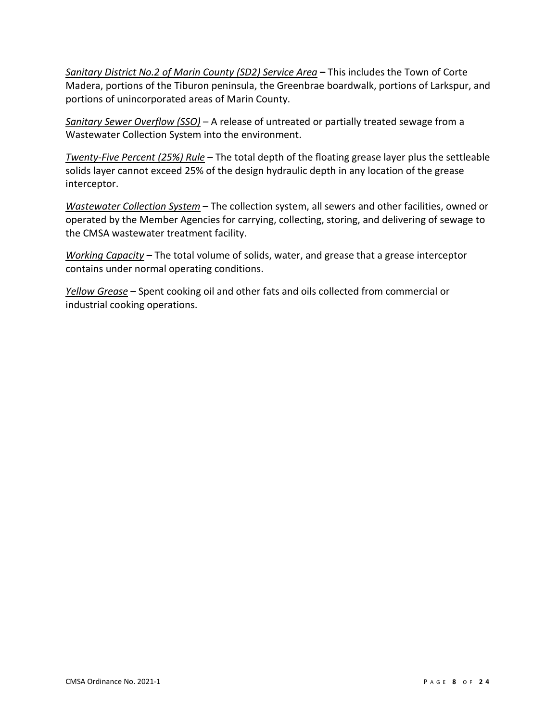*Sanitary District No.2 of Marin County (SD2) Service Area* **–** This includes the Town of Corte Madera, portions of the Tiburon peninsula, the Greenbrae boardwalk, portions of Larkspur, and portions of unincorporated areas of Marin County.

*Sanitary Sewer Overflow (SSO)* – A release of untreated or partially treated sewage from a Wastewater Collection System into the environment.

*Twenty-Five Percent (25%) Rule* – The total depth of the floating grease layer plus the settleable solids layer cannot exceed 25% of the design hydraulic depth in any location of the grease interceptor.

*Wastewater Collection System* – The collection system, all sewers and other facilities, owned or operated by the Member Agencies for carrying, collecting, storing, and delivering of sewage to the CMSA wastewater treatment facility.

*Working Capacity* **–** The total volume of solids, water, and grease that a grease interceptor contains under normal operating conditions.

*Yellow Grease* – Spent cooking oil and other fats and oils collected from commercial or industrial cooking operations.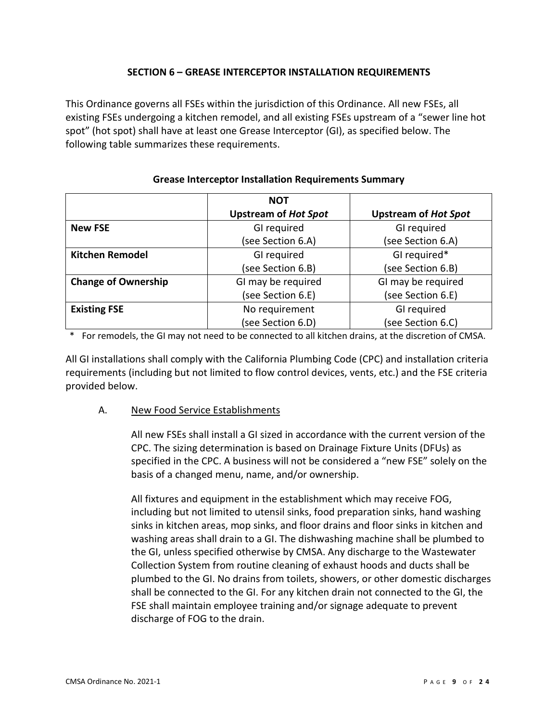# **SECTION 6 – GREASE INTERCEPTOR INSTALLATION REQUIREMENTS**

<span id="page-8-0"></span>This Ordinance governs all FSEs within the jurisdiction of this Ordinance. All new FSEs, all existing FSEs undergoing a kitchen remodel, and all existing FSEs upstream of a "sewer line hot spot" (hot spot) shall have at least one Grease Interceptor (GI), as specified below. The following table summarizes these requirements.

|                            | <b>NOT</b>                  |                             |
|----------------------------|-----------------------------|-----------------------------|
|                            | <b>Upstream of Hot Spot</b> | <b>Upstream of Hot Spot</b> |
| <b>New FSE</b>             | GI required                 | GI required                 |
|                            | (see Section 6.A)           | (see Section 6.A)           |
| <b>Kitchen Remodel</b>     | GI required                 | GI required*                |
|                            | (see Section 6.B)           | (see Section 6.B)           |
| <b>Change of Ownership</b> | GI may be required          | GI may be required          |
|                            | (see Section 6.E)           | (see Section 6.E)           |
| <b>Existing FSE</b>        | No requirement              | GI required                 |
|                            | (see Section 6.D)           | (see Section 6.C)           |

#### **Grease Interceptor Installation Requirements Summary**

\* For remodels, the GI may not need to be connected to all kitchen drains, at the discretion of CMSA.

All GI installations shall comply with the California Plumbing Code (CPC) and installation criteria requirements (including but not limited to flow control devices, vents, etc.) and the FSE criteria provided below.

## A. New Food Service Establishments

All new FSEs shall install a GI sized in accordance with the current version of the CPC. The sizing determination is based on Drainage Fixture Units (DFUs) as specified in the CPC. A business will not be considered a "new FSE" solely on the basis of a changed menu, name, and/or ownership.

All fixtures and equipment in the establishment which may receive FOG, including but not limited to utensil sinks, food preparation sinks, hand washing sinks in kitchen areas, mop sinks, and floor drains and floor sinks in kitchen and washing areas shall drain to a GI. The dishwashing machine shall be plumbed to the GI, unless specified otherwise by CMSA. Any discharge to the Wastewater Collection System from routine cleaning of exhaust hoods and ducts shall be plumbed to the GI. No drains from toilets, showers, or other domestic discharges shall be connected to the GI. For any kitchen drain not connected to the GI, the FSE shall maintain employee training and/or signage adequate to prevent discharge of FOG to the drain.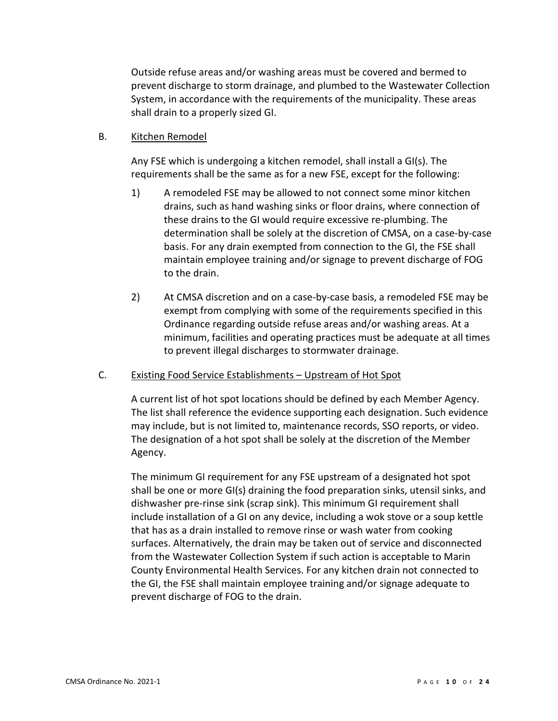Outside refuse areas and/or washing areas must be covered and bermed to prevent discharge to storm drainage, and plumbed to the Wastewater Collection System, in accordance with the requirements of the municipality. These areas shall drain to a properly sized GI.

#### B. Kitchen Remodel

Any FSE which is undergoing a kitchen remodel, shall install a GI(s). The requirements shall be the same as for a new FSE, except for the following:

- 1) A remodeled FSE may be allowed to not connect some minor kitchen drains, such as hand washing sinks or floor drains, where connection of these drains to the GI would require excessive re-plumbing. The determination shall be solely at the discretion of CMSA, on a case-by-case basis. For any drain exempted from connection to the GI, the FSE shall maintain employee training and/or signage to prevent discharge of FOG to the drain.
- 2) At CMSA discretion and on a case-by-case basis, a remodeled FSE may be exempt from complying with some of the requirements specified in this Ordinance regarding outside refuse areas and/or washing areas. At a minimum, facilities and operating practices must be adequate at all times to prevent illegal discharges to stormwater drainage.

## C. Existing Food Service Establishments – Upstream of Hot Spot

A current list of hot spot locations should be defined by each Member Agency. The list shall reference the evidence supporting each designation. Such evidence may include, but is not limited to, maintenance records, SSO reports, or video. The designation of a hot spot shall be solely at the discretion of the Member Agency.

The minimum GI requirement for any FSE upstream of a designated hot spot shall be one or more GI(s) draining the food preparation sinks, utensil sinks, and dishwasher pre-rinse sink (scrap sink). This minimum GI requirement shall include installation of a GI on any device, including a wok stove or a soup kettle that has as a drain installed to remove rinse or wash water from cooking surfaces. Alternatively, the drain may be taken out of service and disconnected from the Wastewater Collection System if such action is acceptable to Marin County Environmental Health Services. For any kitchen drain not connected to the GI, the FSE shall maintain employee training and/or signage adequate to prevent discharge of FOG to the drain.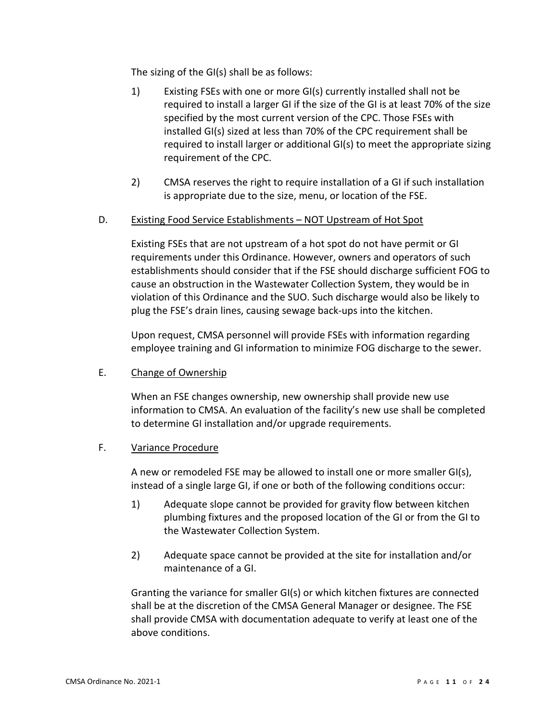The sizing of the GI(s) shall be as follows:

- 1) Existing FSEs with one or more GI(s) currently installed shall not be required to install a larger GI if the size of the GI is at least 70% of the size specified by the most current version of the CPC. Those FSEs with installed GI(s) sized at less than 70% of the CPC requirement shall be required to install larger or additional GI(s) to meet the appropriate sizing requirement of the CPC.
- 2) CMSA reserves the right to require installation of a GI if such installation is appropriate due to the size, menu, or location of the FSE.

## D. Existing Food Service Establishments – NOT Upstream of Hot Spot

Existing FSEs that are not upstream of a hot spot do not have permit or GI requirements under this Ordinance. However, owners and operators of such establishments should consider that if the FSE should discharge sufficient FOG to cause an obstruction in the Wastewater Collection System, they would be in violation of this Ordinance and the SUO. Such discharge would also be likely to plug the FSE's drain lines, causing sewage back-ups into the kitchen.

Upon request, CMSA personnel will provide FSEs with information regarding employee training and GI information to minimize FOG discharge to the sewer.

E. Change of Ownership

When an FSE changes ownership, new ownership shall provide new use information to CMSA. An evaluation of the facility's new use shall be completed to determine GI installation and/or upgrade requirements.

## F. Variance Procedure

A new or remodeled FSE may be allowed to install one or more smaller GI(s), instead of a single large GI, if one or both of the following conditions occur:

- 1) Adequate slope cannot be provided for gravity flow between kitchen plumbing fixtures and the proposed location of the GI or from the GI to the Wastewater Collection System.
- 2) Adequate space cannot be provided at the site for installation and/or maintenance of a GI.

Granting the variance for smaller GI(s) or which kitchen fixtures are connected shall be at the discretion of the CMSA General Manager or designee. The FSE shall provide CMSA with documentation adequate to verify at least one of the above conditions.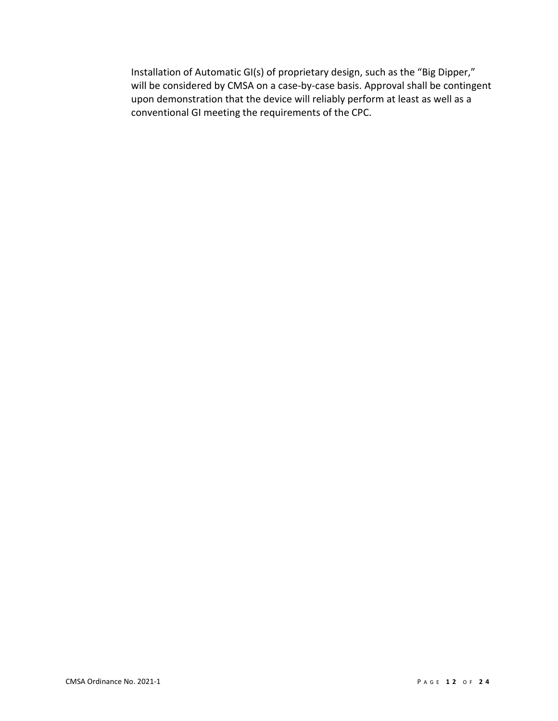Installation of Automatic GI(s) of proprietary design, such as the "Big Dipper," will be considered by CMSA on a case-by-case basis. Approval shall be contingent upon demonstration that the device will reliably perform at least as well as a conventional GI meeting the requirements of the CPC.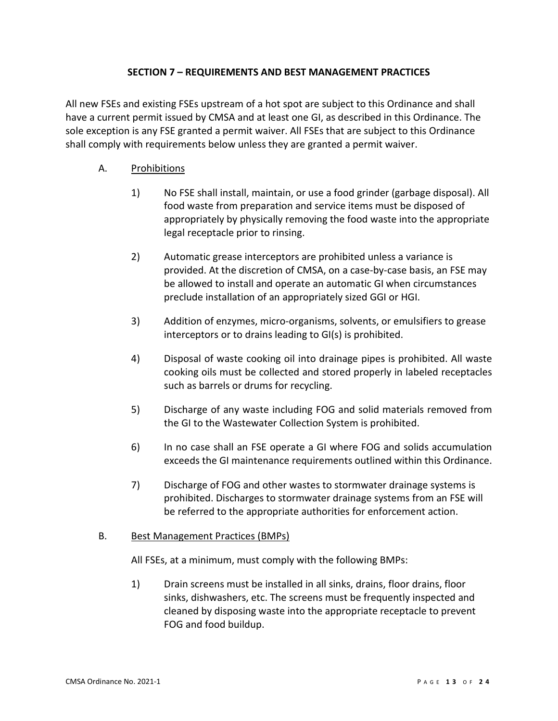# **SECTION 7 – REQUIREMENTS AND BEST MANAGEMENT PRACTICES**

<span id="page-12-0"></span>All new FSEs and existing FSEs upstream of a hot spot are subject to this Ordinance and shall have a current permit issued by CMSA and at least one GI, as described in this Ordinance. The sole exception is any FSE granted a permit waiver. All FSEs that are subject to this Ordinance shall comply with requirements below unless they are granted a permit waiver.

# A. Prohibitions

- 1) No FSE shall install, maintain, or use a food grinder (garbage disposal). All food waste from preparation and service items must be disposed of appropriately by physically removing the food waste into the appropriate legal receptacle prior to rinsing.
- 2) Automatic grease interceptors are prohibited unless a variance is provided. At the discretion of CMSA, on a case-by-case basis, an FSE may be allowed to install and operate an automatic GI when circumstances preclude installation of an appropriately sized GGI or HGI.
- 3) Addition of enzymes, micro-organisms, solvents, or emulsifiers to grease interceptors or to drains leading to GI(s) is prohibited.
- 4) Disposal of waste cooking oil into drainage pipes is prohibited. All waste cooking oils must be collected and stored properly in labeled receptacles such as barrels or drums for recycling.
- 5) Discharge of any waste including FOG and solid materials removed from the GI to the Wastewater Collection System is prohibited.
- 6) In no case shall an FSE operate a GI where FOG and solids accumulation exceeds the GI maintenance requirements outlined within this Ordinance.
- 7) Discharge of FOG and other wastes to stormwater drainage systems is prohibited. Discharges to stormwater drainage systems from an FSE will be referred to the appropriate authorities for enforcement action.

## B. Best Management Practices (BMPs)

All FSEs, at a minimum, must comply with the following BMPs:

1) Drain screens must be installed in all sinks, drains, floor drains, floor sinks, dishwashers, etc. The screens must be frequently inspected and cleaned by disposing waste into the appropriate receptacle to prevent FOG and food buildup.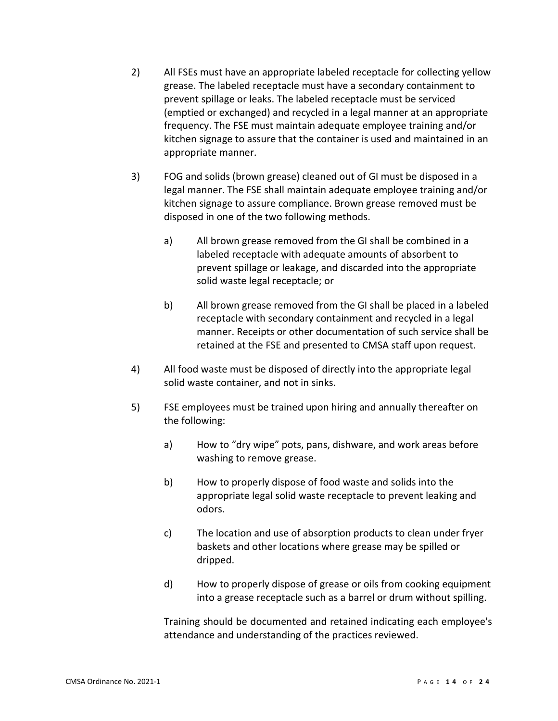- 2) All FSEs must have an appropriate labeled receptacle for collecting yellow grease. The labeled receptacle must have a secondary containment to prevent spillage or leaks. The labeled receptacle must be serviced (emptied or exchanged) and recycled in a legal manner at an appropriate frequency. The FSE must maintain adequate employee training and/or kitchen signage to assure that the container is used and maintained in an appropriate manner.
- 3) FOG and solids (brown grease) cleaned out of GI must be disposed in a legal manner. The FSE shall maintain adequate employee training and/or kitchen signage to assure compliance. Brown grease removed must be disposed in one of the two following methods.
	- a) All brown grease removed from the GI shall be combined in a labeled receptacle with adequate amounts of absorbent to prevent spillage or leakage, and discarded into the appropriate solid waste legal receptacle; or
	- b) All brown grease removed from the GI shall be placed in a labeled receptacle with secondary containment and recycled in a legal manner. Receipts or other documentation of such service shall be retained at the FSE and presented to CMSA staff upon request.
- 4) All food waste must be disposed of directly into the appropriate legal solid waste container, and not in sinks.
- 5) FSE employees must be trained upon hiring and annually thereafter on the following:
	- a) How to "dry wipe" pots, pans, dishware, and work areas before washing to remove grease.
	- b) How to properly dispose of food waste and solids into the appropriate legal solid waste receptacle to prevent leaking and odors.
	- c) The location and use of absorption products to clean under fryer baskets and other locations where grease may be spilled or dripped.
	- d) How to properly dispose of grease or oils from cooking equipment into a grease receptacle such as a barrel or drum without spilling.

Training should be documented and retained indicating each employee's attendance and understanding of the practices reviewed.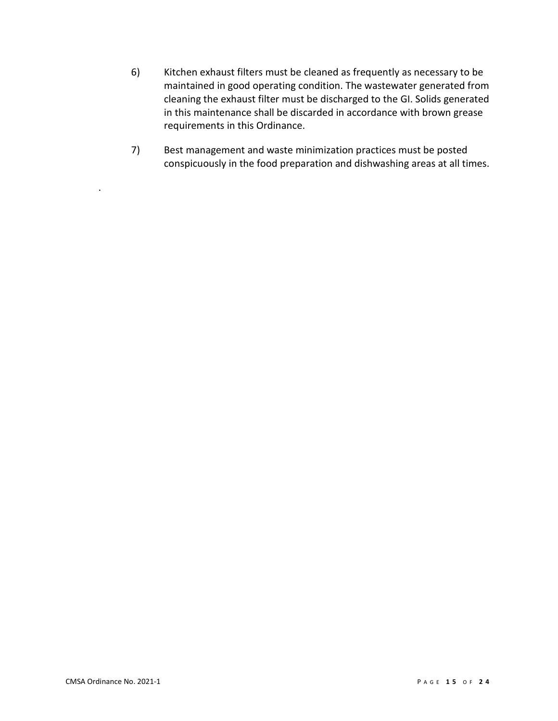- 6) Kitchen exhaust filters must be cleaned as frequently as necessary to be maintained in good operating condition. The wastewater generated from cleaning the exhaust filter must be discharged to the GI. Solids generated in this maintenance shall be discarded in accordance with brown grease requirements in this Ordinance.
- 7) Best management and waste minimization practices must be posted conspicuously in the food preparation and dishwashing areas at all times.

.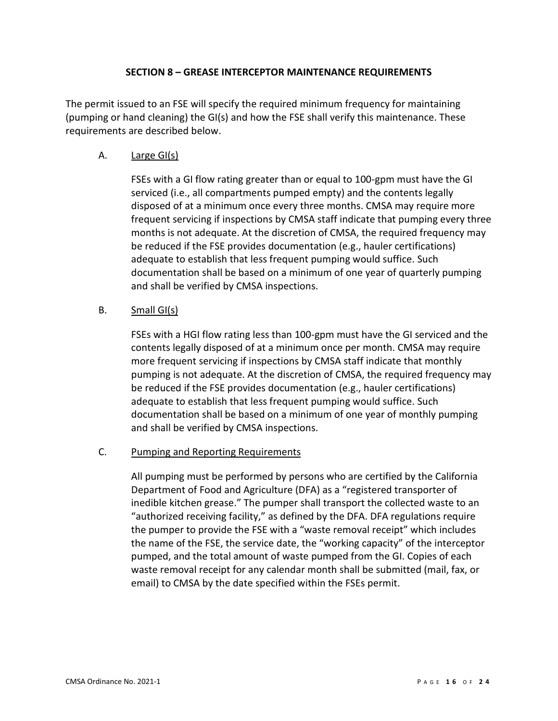#### **SECTION 8 – GREASE INTERCEPTOR MAINTENANCE REQUIREMENTS**

<span id="page-15-0"></span>The permit issued to an FSE will specify the required minimum frequency for maintaining (pumping or hand cleaning) the GI(s) and how the FSE shall verify this maintenance. These requirements are described below.

# A. Large GI(s)

FSEs with a GI flow rating greater than or equal to 100-gpm must have the GI serviced (i.e., all compartments pumped empty) and the contents legally disposed of at a minimum once every three months. CMSA may require more frequent servicing if inspections by CMSA staff indicate that pumping every three months is not adequate. At the discretion of CMSA, the required frequency may be reduced if the FSE provides documentation (e.g., hauler certifications) adequate to establish that less frequent pumping would suffice. Such documentation shall be based on a minimum of one year of quarterly pumping and shall be verified by CMSA inspections.

# B. Small GI(s)

FSEs with a HGI flow rating less than 100-gpm must have the GI serviced and the contents legally disposed of at a minimum once per month. CMSA may require more frequent servicing if inspections by CMSA staff indicate that monthly pumping is not adequate. At the discretion of CMSA, the required frequency may be reduced if the FSE provides documentation (e.g., hauler certifications) adequate to establish that less frequent pumping would suffice. Such documentation shall be based on a minimum of one year of monthly pumping and shall be verified by CMSA inspections.

## C. Pumping and Reporting Requirements

All pumping must be performed by persons who are certified by the California Department of Food and Agriculture (DFA) as a "registered transporter of inedible kitchen grease." The pumper shall transport the collected waste to an "authorized receiving facility," as defined by the DFA. DFA regulations require the pumper to provide the FSE with a "waste removal receipt" which includes the name of the FSE, the service date, the "working capacity" of the interceptor pumped, and the total amount of waste pumped from the GI. Copies of each waste removal receipt for any calendar month shall be submitted (mail, fax, or email) to CMSA by the date specified within the FSEs permit.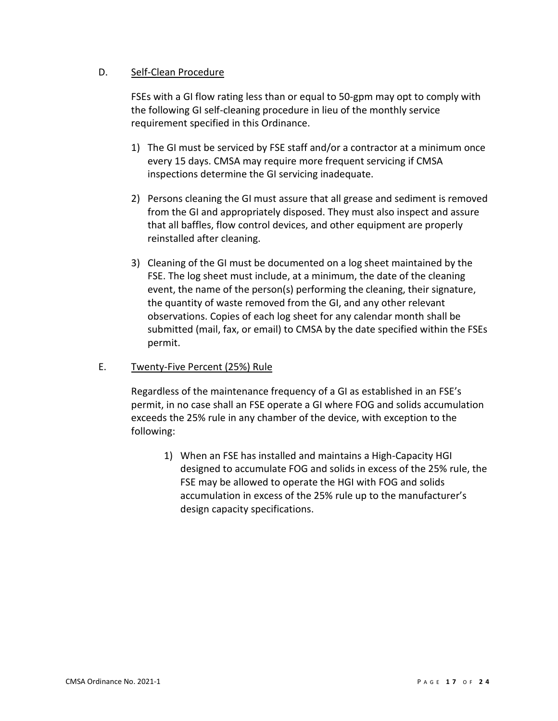# D. Self-Clean Procedure

FSEs with a GI flow rating less than or equal to 50-gpm may opt to comply with the following GI self-cleaning procedure in lieu of the monthly service requirement specified in this Ordinance.

- 1) The GI must be serviced by FSE staff and/or a contractor at a minimum once every 15 days. CMSA may require more frequent servicing if CMSA inspections determine the GI servicing inadequate.
- 2) Persons cleaning the GI must assure that all grease and sediment is removed from the GI and appropriately disposed. They must also inspect and assure that all baffles, flow control devices, and other equipment are properly reinstalled after cleaning.
- 3) Cleaning of the GI must be documented on a log sheet maintained by the FSE. The log sheet must include, at a minimum, the date of the cleaning event, the name of the person(s) performing the cleaning, their signature, the quantity of waste removed from the GI, and any other relevant observations. Copies of each log sheet for any calendar month shall be submitted (mail, fax, or email) to CMSA by the date specified within the FSEs permit.

## E. Twenty-Five Percent (25%) Rule

Regardless of the maintenance frequency of a GI as established in an FSE's permit, in no case shall an FSE operate a GI where FOG and solids accumulation exceeds the 25% rule in any chamber of the device, with exception to the following:

1) When an FSE has installed and maintains a High-Capacity HGI designed to accumulate FOG and solids in excess of the 25% rule, the FSE may be allowed to operate the HGI with FOG and solids accumulation in excess of the 25% rule up to the manufacturer's design capacity specifications.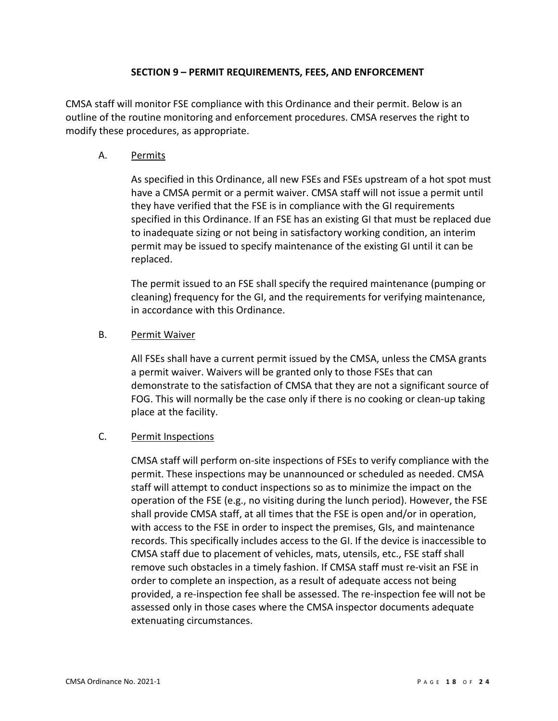#### **SECTION 9 – PERMIT REQUIREMENTS, FEES, AND ENFORCEMENT**

<span id="page-17-0"></span>CMSA staff will monitor FSE compliance with this Ordinance and their permit. Below is an outline of the routine monitoring and enforcement procedures. CMSA reserves the right to modify these procedures, as appropriate.

#### A. Permits

As specified in this Ordinance, all new FSEs and FSEs upstream of a hot spot must have a CMSA permit or a permit waiver. CMSA staff will not issue a permit until they have verified that the FSE is in compliance with the GI requirements specified in this Ordinance. If an FSE has an existing GI that must be replaced due to inadequate sizing or not being in satisfactory working condition, an interim permit may be issued to specify maintenance of the existing GI until it can be replaced.

The permit issued to an FSE shall specify the required maintenance (pumping or cleaning) frequency for the GI, and the requirements for verifying maintenance, in accordance with this Ordinance.

#### B. Permit Waiver

All FSEs shall have a current permit issued by the CMSA, unless the CMSA grants a permit waiver. Waivers will be granted only to those FSEs that can demonstrate to the satisfaction of CMSA that they are not a significant source of FOG. This will normally be the case only if there is no cooking or clean-up taking place at the facility.

# C. Permit Inspections

CMSA staff will perform on-site inspections of FSEs to verify compliance with the permit. These inspections may be unannounced or scheduled as needed. CMSA staff will attempt to conduct inspections so as to minimize the impact on the operation of the FSE (e.g., no visiting during the lunch period). However, the FSE shall provide CMSA staff, at all times that the FSE is open and/or in operation, with access to the FSE in order to inspect the premises, GIs, and maintenance records. This specifically includes access to the GI. If the device is inaccessible to CMSA staff due to placement of vehicles, mats, utensils, etc., FSE staff shall remove such obstacles in a timely fashion. If CMSA staff must re-visit an FSE in order to complete an inspection, as a result of adequate access not being provided, a re-inspection fee shall be assessed. The re-inspection fee will not be assessed only in those cases where the CMSA inspector documents adequate extenuating circumstances.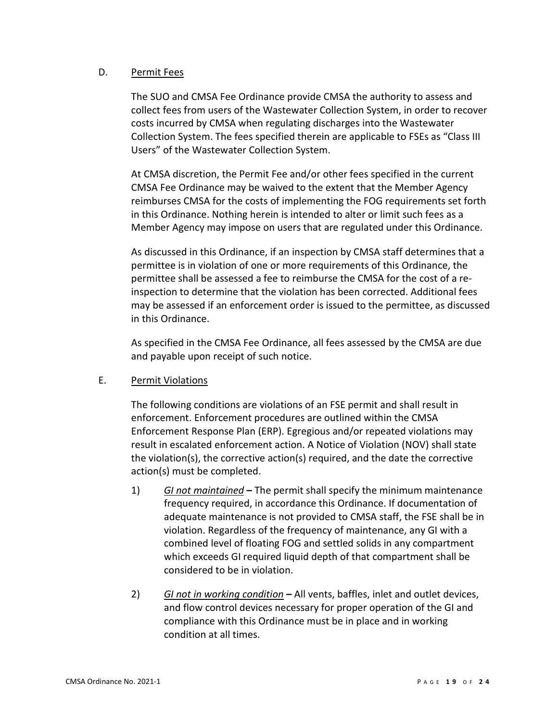# D. Permit Fees

The SUO and CMSA Fee Ordinance provide CMSA the authority to assess and collect fees from users of the Wastewater Collection System, in order to recover costs incurred by CMSA when regulating discharges into the Wastewater Collection System. The fees specified therein are applicable to FSEs as "Class III Users" of the Wastewater Collection System.

At CMSA discretion, the Permit Fee and/or other fees specified in the current CMSA Fee Ordinance may be waived to the extent that the Member Agency reimburses CMSA for the costs of implementing the FOG requirements set forth in this Ordinance. Nothing herein is intended to alter or limit such fees as a Member Agency may impose on users that are regulated under this Ordinance.

As discussed in this Ordinance, if an inspection by CMSA staff determines that a permittee is in violation of one or more requirements of this Ordinance, the permittee shall be assessed a fee to reimburse the CMSA for the cost of a reinspection to determine that the violation has been corrected. Additional fees may be assessed if an enforcement order is issued to the permittee, as discussed in this Ordinance.

As specified in the CMSA Fee Ordinance, all fees assessed by the CMSA are due and payable upon receipt of such notice.

## E. Permit Violations

The following conditions are violations of an FSE permit and shall result in enforcement. Enforcement procedures are outlined within the CMSA Enforcement Response Plan (ERP). Egregious and/or repeated violations may result in escalated enforcement action. A Notice of Violation (NOV) shall state the violation(s), the corrective action(s) required, and the date the corrective action(s) must be completed.

- 1) *GI not maintained* **–** The permit shall specify the minimum maintenance frequency required, in accordance this Ordinance. If documentation of adequate maintenance is not provided to CMSA staff, the FSE shall be in violation. Regardless of the frequency of maintenance, any GI with a combined level of floating FOG and settled solids in any compartment which exceeds GI required liquid depth of that compartment shall be considered to be in violation.
- 2) *GI not in working condition* **–** All vents, baffles, inlet and outlet devices, and flow control devices necessary for proper operation of the GI and compliance with this Ordinance must be in place and in working condition at all times.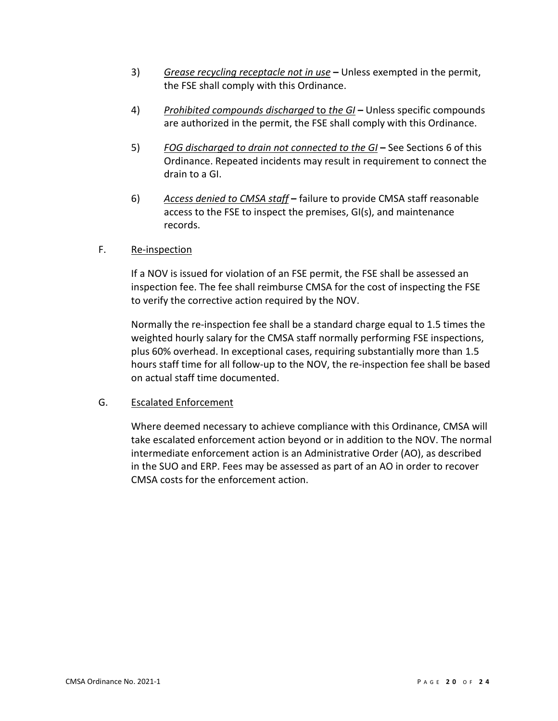- 3) *Grease recycling receptacle not in use* **–** Unless exempted in the permit, the FSE shall comply with this Ordinance.
- 4) *Prohibited compounds discharged* to *the GI* **–** Unless specific compounds are authorized in the permit, the FSE shall comply with this Ordinance.
- 5) *FOG discharged to drain not connected to the GI* **–** See Sections 6 of this Ordinance. Repeated incidents may result in requirement to connect the drain to a GI.
- 6) *Access denied to CMSA staff* **–** failure to provide CMSA staff reasonable access to the FSE to inspect the premises, GI(s), and maintenance records.

# F. Re-inspection

If a NOV is issued for violation of an FSE permit, the FSE shall be assessed an inspection fee. The fee shall reimburse CMSA for the cost of inspecting the FSE to verify the corrective action required by the NOV.

Normally the re-inspection fee shall be a standard charge equal to 1.5 times the weighted hourly salary for the CMSA staff normally performing FSE inspections, plus 60% overhead. In exceptional cases, requiring substantially more than 1.5 hours staff time for all follow-up to the NOV, the re-inspection fee shall be based on actual staff time documented.

## G. Escalated Enforcement

Where deemed necessary to achieve compliance with this Ordinance, CMSA will take escalated enforcement action beyond or in addition to the NOV. The normal intermediate enforcement action is an Administrative Order (AO), as described in the SUO and ERP. Fees may be assessed as part of an AO in order to recover CMSA costs for the enforcement action.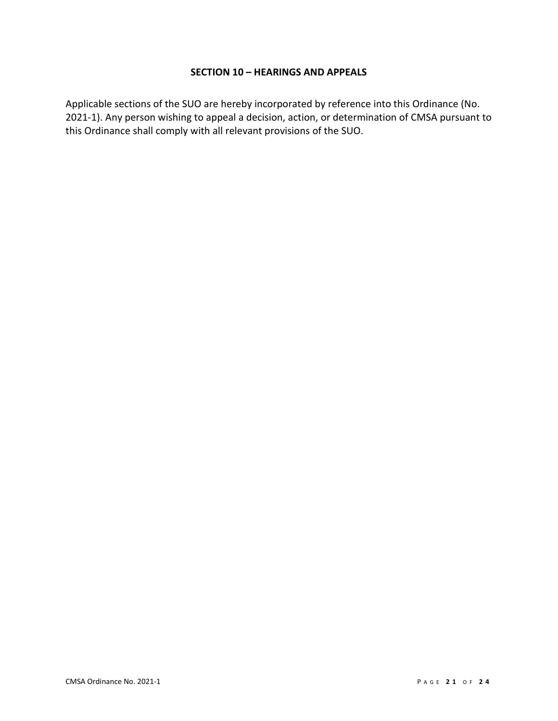#### **SECTION 10 – HEARINGS AND APPEALS**

<span id="page-20-0"></span>Applicable sections of the SUO are hereby incorporated by reference into this Ordinance (No. 2021-1). Any person wishing to appeal a decision, action, or determination of CMSA pursuant to this Ordinance shall comply with all relevant provisions of the SUO.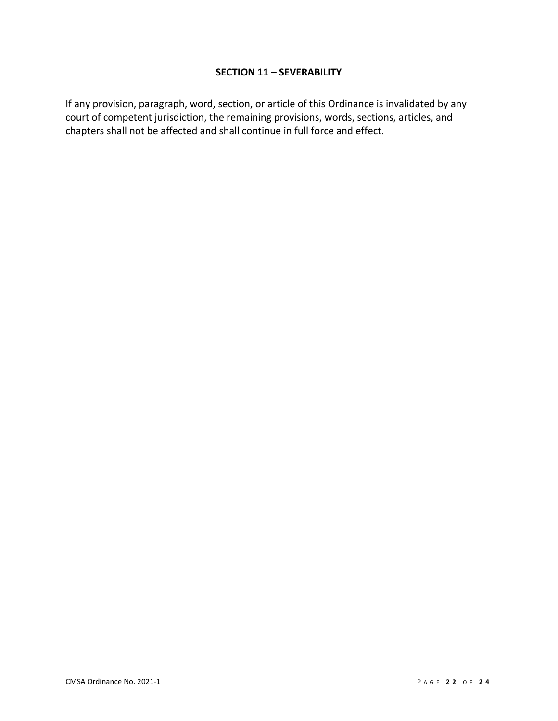#### **SECTION 11 – SEVERABILITY**

<span id="page-21-0"></span>If any provision, paragraph, word, section, or article of this Ordinance is invalidated by any court of competent jurisdiction, the remaining provisions, words, sections, articles, and chapters shall not be affected and shall continue in full force and effect.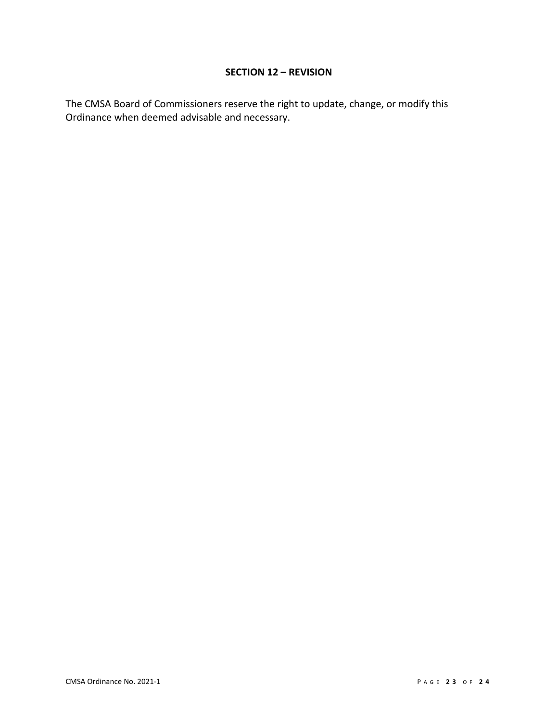# **SECTION 12 – REVISION**

<span id="page-22-0"></span>The CMSA Board of Commissioners reserve the right to update, change, or modify this Ordinance when deemed advisable and necessary.